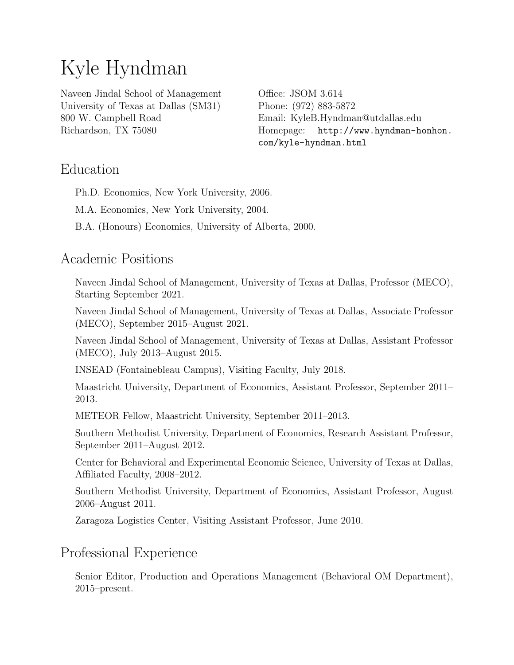# Kyle Hyndman

Naveen Jindal School of Management University of Texas at Dallas (SM31) 800 W. Campbell Road Richardson, TX 75080

Office: JSOM 3.614 Phone: (972) 883-5872 Email: [KyleB.Hyndman@utdallas.edu](mailto:KyleB.Hyndman@utdallas.edu) Homepage: [http://www.hyndman-honhon.](http://www.hyndman-honhon.com/kyle-hyndman.html) [com/kyle-hyndman.html](http://www.hyndman-honhon.com/kyle-hyndman.html)

# Education

Ph.D. Economics, New York University, 2006.

M.A. Economics, New York University, 2004.

B.A. (Honours) Economics, University of Alberta, 2000.

# Academic Positions

Naveen Jindal School of Management, University of Texas at Dallas, Professor (MECO), Starting September 2021.

Naveen Jindal School of Management, University of Texas at Dallas, Associate Professor (MECO), September 2015–August 2021.

Naveen Jindal School of Management, University of Texas at Dallas, Assistant Professor (MECO), July 2013–August 2015.

INSEAD (Fontainebleau Campus), Visiting Faculty, July 2018.

Maastricht University, Department of Economics, Assistant Professor, September 2011– 2013.

METEOR Fellow, Maastricht University, September 2011–2013.

Southern Methodist University, Department of Economics, Research Assistant Professor, September 2011–August 2012.

Center for Behavioral and Experimental Economic Science, University of Texas at Dallas, Affiliated Faculty, 2008–2012.

Southern Methodist University, Department of Economics, Assistant Professor, August 2006–August 2011.

Zaragoza Logistics Center, Visiting Assistant Professor, June 2010.

## Professional Experience

Senior Editor, Production and Operations Management (Behavioral OM Department), 2015–present.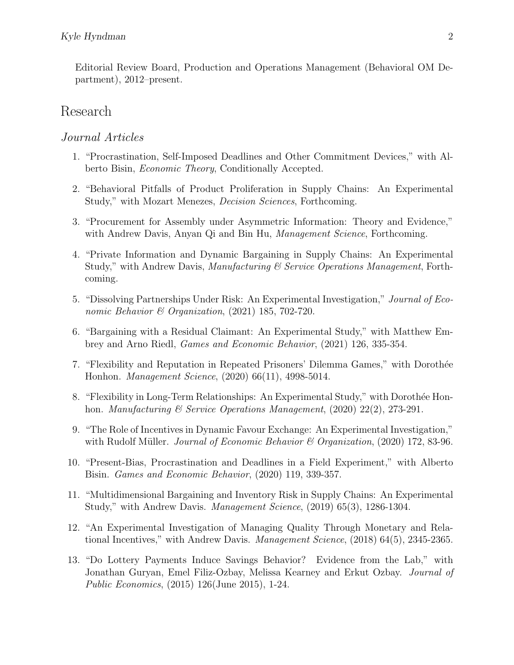Editorial Review Board, Production and Operations Management (Behavioral OM Department), 2012–present.

### Research

#### Journal Articles

- 1. "Procrastination, Self-Imposed Deadlines and Other Commitment Devices," with Alberto Bisin, Economic Theory, Conditionally Accepted.
- 2. "Behavioral Pitfalls of Product Proliferation in Supply Chains: An Experimental Study," with Mozart Menezes, Decision Sciences, Forthcoming.
- 3. "Procurement for Assembly under Asymmetric Information: Theory and Evidence," with Andrew Davis, Anyan Qi and Bin Hu, *Management Science*, Forthcoming.
- 4. "Private Information and Dynamic Bargaining in Supply Chains: An Experimental Study," with Andrew Davis, Manufacturing & Service Operations Management, Forthcoming.
- 5. "Dissolving Partnerships Under Risk: An Experimental Investigation," Journal of Economic Behavior & Organization, (2021) 185, 702-720.
- 6. "Bargaining with a Residual Claimant: An Experimental Study," with Matthew Embrey and Arno Riedl, Games and Economic Behavior, (2021) 126, 335-354.
- 7. "Flexibility and Reputation in Repeated Prisoners' Dilemma Games," with Dorothée Honhon. Management Science, (2020) 66(11), 4998-5014.
- 8. "Flexibility in Long-Term Relationships: An Experimental Study," with Dorothée Honhon. *Manufacturing & Service Operations Management*,  $(2020)$   $22(2)$ , 273-291.
- 9. "The Role of Incentives in Dynamic Favour Exchange: An Experimental Investigation," with Rudolf Müller. *Journal of Economic Behavior & Organization*,  $(2020)$  172, 83-96.
- 10. "Present-Bias, Procrastination and Deadlines in a Field Experiment," with Alberto Bisin. Games and Economic Behavior, (2020) 119, 339-357.
- 11. "Multidimensional Bargaining and Inventory Risk in Supply Chains: An Experimental Study," with Andrew Davis. Management Science, (2019) 65(3), 1286-1304.
- 12. "An Experimental Investigation of Managing Quality Through Monetary and Relational Incentives," with Andrew Davis. Management Science, (2018) 64(5), 2345-2365.
- 13. "Do Lottery Payments Induce Savings Behavior? Evidence from the Lab," with Jonathan Guryan, Emel Filiz-Ozbay, Melissa Kearney and Erkut Ozbay. Journal of Public Economics, (2015) 126(June 2015), 1-24.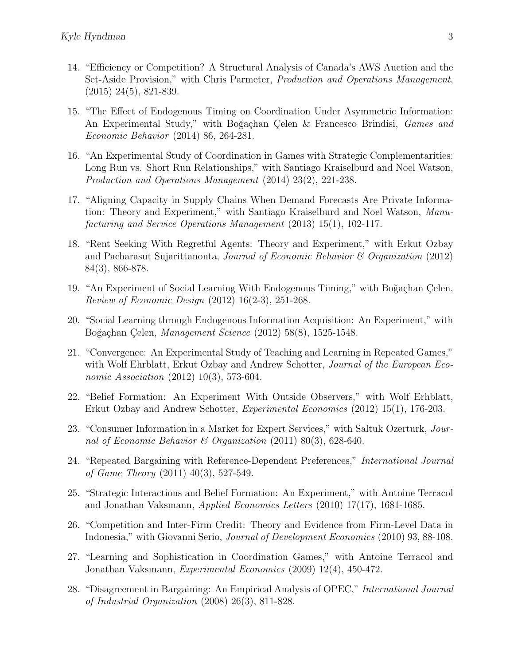- 14. "Efficiency or Competition? A Structural Analysis of Canada's AWS Auction and the Set-Aside Provision," with Chris Parmeter, Production and Operations Management, (2015) 24(5), 821-839.
- 15. "The Effect of Endogenous Timing on Coordination Under Asymmetric Information: An Experimental Study," with Boğaçhan Çelen & Francesco Brindisi, Games and Economic Behavior (2014) 86, 264-281.
- 16. "An Experimental Study of Coordination in Games with Strategic Complementarities: Long Run vs. Short Run Relationships," with Santiago Kraiselburd and Noel Watson, Production and Operations Management (2014) 23(2), 221-238.
- 17. "Aligning Capacity in Supply Chains When Demand Forecasts Are Private Information: Theory and Experiment," with Santiago Kraiselburd and Noel Watson, Manufacturing and Service Operations Management (2013) 15(1), 102-117.
- 18. "Rent Seeking With Regretful Agents: Theory and Experiment," with Erkut Ozbay and Pacharasut Sujarittanonta, Journal of Economic Behavior & Organization (2012) 84(3), 866-878.
- 19. "An Experiment of Social Learning With Endogenous Timing," with Boğaçhan Çelen, Review of Economic Design (2012) 16(2-3), 251-268.
- 20. "Social Learning through Endogenous Information Acquisition: An Experiment," with Boğaçhan Çelen, Management Science (2012) 58(8), 1525-1548.
- 21. "Convergence: An Experimental Study of Teaching and Learning in Repeated Games," with Wolf Ehrblatt, Erkut Ozbay and Andrew Schotter, Journal of the European Economic Association (2012) 10(3), 573-604.
- 22. "Belief Formation: An Experiment With Outside Observers," with Wolf Erhblatt, Erkut Ozbay and Andrew Schotter, Experimental Economics (2012) 15(1), 176-203.
- 23. "Consumer Information in a Market for Expert Services," with Saltuk Ozerturk, Journal of Economic Behavior & Organization (2011) 80(3), 628-640.
- 24. "Repeated Bargaining with Reference-Dependent Preferences," International Journal of Game Theory (2011) 40(3), 527-549.
- 25. "Strategic Interactions and Belief Formation: An Experiment," with Antoine Terracol and Jonathan Vaksmann, Applied Economics Letters (2010) 17(17), 1681-1685.
- 26. "Competition and Inter-Firm Credit: Theory and Evidence from Firm-Level Data in Indonesia," with Giovanni Serio, Journal of Development Economics (2010) 93, 88-108.
- 27. "Learning and Sophistication in Coordination Games," with Antoine Terracol and Jonathan Vaksmann, Experimental Economics (2009) 12(4), 450-472.
- 28. "Disagreement in Bargaining: An Empirical Analysis of OPEC," International Journal of Industrial Organization (2008) 26(3), 811-828.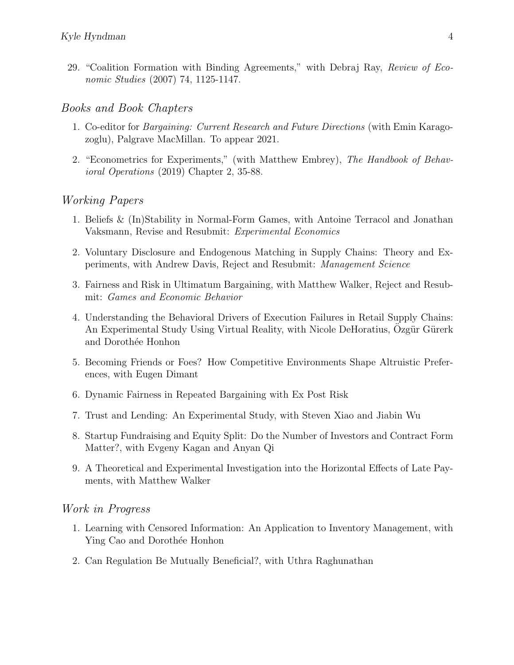29. "Coalition Formation with Binding Agreements," with Debraj Ray, Review of Economic Studies (2007) 74, 1125-1147.

#### Books and Book Chapters

- 1. Co-editor for Bargaining: Current Research and Future Directions (with Emin Karagozoglu), Palgrave MacMillan. To appear 2021.
- 2. "Econometrics for Experiments," (with Matthew Embrey), The Handbook of Behavioral Operations (2019) Chapter 2, 35-88.

#### Working Papers

- 1. Beliefs & (In)Stability in Normal-Form Games, with Antoine Terracol and Jonathan Vaksmann, Revise and Resubmit: Experimental Economics
- 2. Voluntary Disclosure and Endogenous Matching in Supply Chains: Theory and Experiments, with Andrew Davis, Reject and Resubmit: Management Science
- 3. Fairness and Risk in Ultimatum Bargaining, with Matthew Walker, Reject and Resubmit: Games and Economic Behavior
- 4. Understanding the Behavioral Drivers of Execution Failures in Retail Supply Chains: An Experimental Study Using Virtual Reality, with Nicole DeHoratius, Özgür Gürerk and Dorothée Honhon
- 5. Becoming Friends or Foes? How Competitive Environments Shape Altruistic Preferences, with Eugen Dimant
- 6. Dynamic Fairness in Repeated Bargaining with Ex Post Risk
- 7. Trust and Lending: An Experimental Study, with Steven Xiao and Jiabin Wu
- 8. Startup Fundraising and Equity Split: Do the Number of Investors and Contract Form Matter?, with Evgeny Kagan and Anyan Qi
- 9. A Theoretical and Experimental Investigation into the Horizontal Effects of Late Payments, with Matthew Walker

#### Work in Progress

- 1. Learning with Censored Information: An Application to Inventory Management, with Ying Cao and Dorothée Honhon
- 2. Can Regulation Be Mutually Beneficial?, with Uthra Raghunathan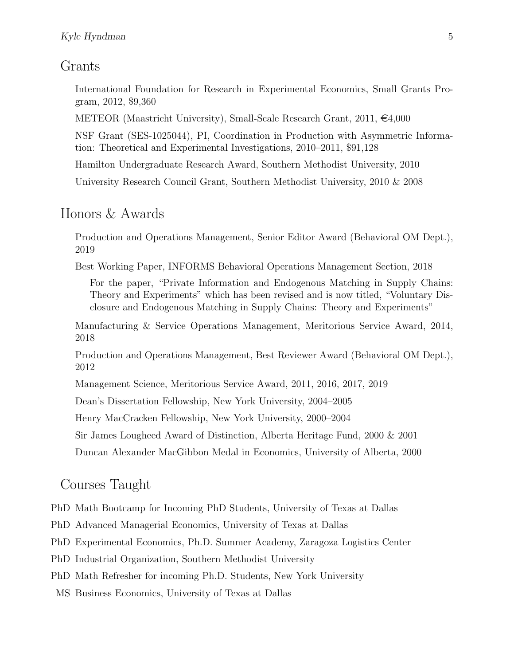## Grants

International Foundation for Research in Experimental Economics, Small Grants Program, 2012, \$9,360

METEOR (Maastricht University), Small-Scale Research Grant,  $2011, \epsilon 4,000$ 

NSF Grant (SES-1025044), PI, Coordination in Production with Asymmetric Information: Theoretical and Experimental Investigations, 2010–2011, \$91,128

Hamilton Undergraduate Research Award, Southern Methodist University, 2010

University Research Council Grant, Southern Methodist University, 2010 & 2008

#### Honors & Awards

Production and Operations Management, Senior Editor Award (Behavioral OM Dept.), 2019

Best Working Paper, INFORMS Behavioral Operations Management Section, 2018

For the paper, "Private Information and Endogenous Matching in Supply Chains: Theory and Experiments" which has been revised and is now titled, "Voluntary Disclosure and Endogenous Matching in Supply Chains: Theory and Experiments"

Manufacturing & Service Operations Management, Meritorious Service Award, 2014, 2018

Production and Operations Management, Best Reviewer Award (Behavioral OM Dept.), 2012

Management Science, Meritorious Service Award, 2011, 2016, 2017, 2019

Dean's Dissertation Fellowship, New York University, 2004–2005

Henry MacCracken Fellowship, New York University, 2000–2004

Sir James Lougheed Award of Distinction, Alberta Heritage Fund, 2000 & 2001

Duncan Alexander MacGibbon Medal in Economics, University of Alberta, 2000

## Courses Taught

- PhD Math Bootcamp for Incoming PhD Students, University of Texas at Dallas
- PhD Advanced Managerial Economics, University of Texas at Dallas
- PhD Experimental Economics, Ph.D. Summer Academy, Zaragoza Logistics Center
- PhD Industrial Organization, Southern Methodist University
- PhD Math Refresher for incoming Ph.D. Students, New York University
- MS Business Economics, University of Texas at Dallas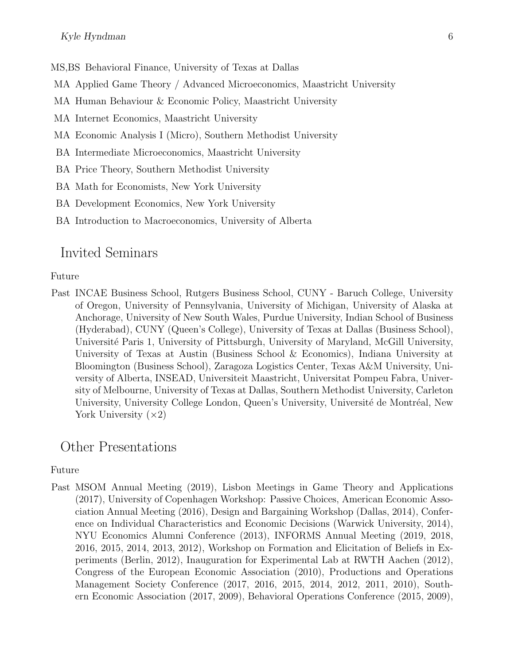MS,BS Behavioral Finance, University of Texas at Dallas

- MA Applied Game Theory / Advanced Microeconomics, Maastricht University
- MA Human Behaviour & Economic Policy, Maastricht University
- MA Internet Economics, Maastricht University
- MA Economic Analysis I (Micro), Southern Methodist University
- BA Intermediate Microeconomics, Maastricht University
- BA Price Theory, Southern Methodist University
- BA Math for Economists, New York University
- BA Development Economics, New York University
- BA Introduction to Macroeconomics, University of Alberta

## Invited Seminars

#### Future

Past INCAE Business School, Rutgers Business School, CUNY - Baruch College, University of Oregon, University of Pennsylvania, University of Michigan, University of Alaska at Anchorage, University of New South Wales, Purdue University, Indian School of Business (Hyderabad), CUNY (Queen's College), University of Texas at Dallas (Business School), Université Paris 1, University of Pittsburgh, University of Maryland, McGill University, University of Texas at Austin (Business School & Economics), Indiana University at Bloomington (Business School), Zaragoza Logistics Center, Texas A&M University, University of Alberta, INSEAD, Universiteit Maastricht, Universitat Pompeu Fabra, University of Melbourne, University of Texas at Dallas, Southern Methodist University, Carleton University, University College London, Queen's University, Université de Montréal, New York University  $(x2)$ 

## Other Presentations

#### Future

Past MSOM Annual Meeting (2019), Lisbon Meetings in Game Theory and Applications (2017), University of Copenhagen Workshop: Passive Choices, American Economic Association Annual Meeting (2016), Design and Bargaining Workshop (Dallas, 2014), Conference on Individual Characteristics and Economic Decisions (Warwick University, 2014), NYU Economics Alumni Conference (2013), INFORMS Annual Meeting (2019, 2018, 2016, 2015, 2014, 2013, 2012), Workshop on Formation and Elicitation of Beliefs in Experiments (Berlin, 2012), Inauguration for Experimental Lab at RWTH Aachen (2012), Congress of the European Economic Association (2010), Productions and Operations Management Society Conference (2017, 2016, 2015, 2014, 2012, 2011, 2010), Southern Economic Association (2017, 2009), Behavioral Operations Conference (2015, 2009),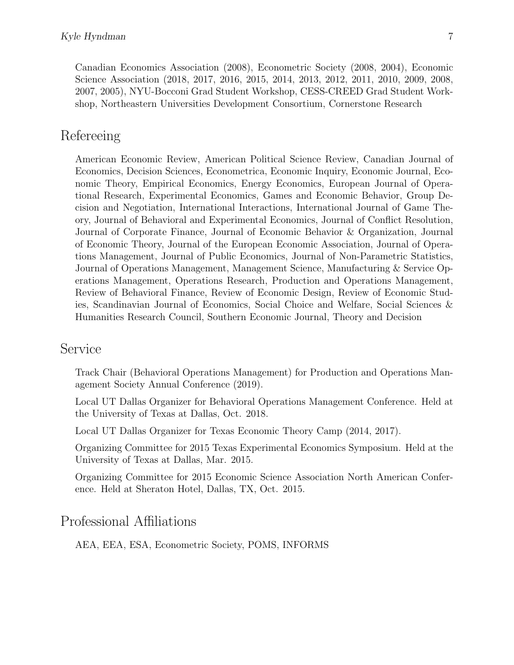Canadian Economics Association (2008), Econometric Society (2008, 2004), Economic Science Association (2018, 2017, 2016, 2015, 2014, 2013, 2012, 2011, 2010, 2009, 2008, 2007, 2005), NYU-Bocconi Grad Student Workshop, CESS-CREED Grad Student Workshop, Northeastern Universities Development Consortium, Cornerstone Research

# Refereeing

American Economic Review, American Political Science Review, Canadian Journal of Economics, Decision Sciences, Econometrica, Economic Inquiry, Economic Journal, Economic Theory, Empirical Economics, Energy Economics, European Journal of Operational Research, Experimental Economics, Games and Economic Behavior, Group Decision and Negotiation, International Interactions, International Journal of Game Theory, Journal of Behavioral and Experimental Economics, Journal of Conflict Resolution, Journal of Corporate Finance, Journal of Economic Behavior & Organization, Journal of Economic Theory, Journal of the European Economic Association, Journal of Operations Management, Journal of Public Economics, Journal of Non-Parametric Statistics, Journal of Operations Management, Management Science, Manufacturing & Service Operations Management, Operations Research, Production and Operations Management, Review of Behavioral Finance, Review of Economic Design, Review of Economic Studies, Scandinavian Journal of Economics, Social Choice and Welfare, Social Sciences & Humanities Research Council, Southern Economic Journal, Theory and Decision

## Service

Track Chair (Behavioral Operations Management) for Production and Operations Management Society Annual Conference (2019).

Local UT Dallas Organizer for Behavioral Operations Management Conference. Held at the University of Texas at Dallas, Oct. 2018.

Local UT Dallas Organizer for Texas Economic Theory Camp (2014, 2017).

Organizing Committee for 2015 Texas Experimental Economics Symposium. Held at the University of Texas at Dallas, Mar. 2015.

Organizing Committee for 2015 Economic Science Association North American Conference. Held at Sheraton Hotel, Dallas, TX, Oct. 2015.

# Professional Affiliations

AEA, EEA, ESA, Econometric Society, POMS, INFORMS